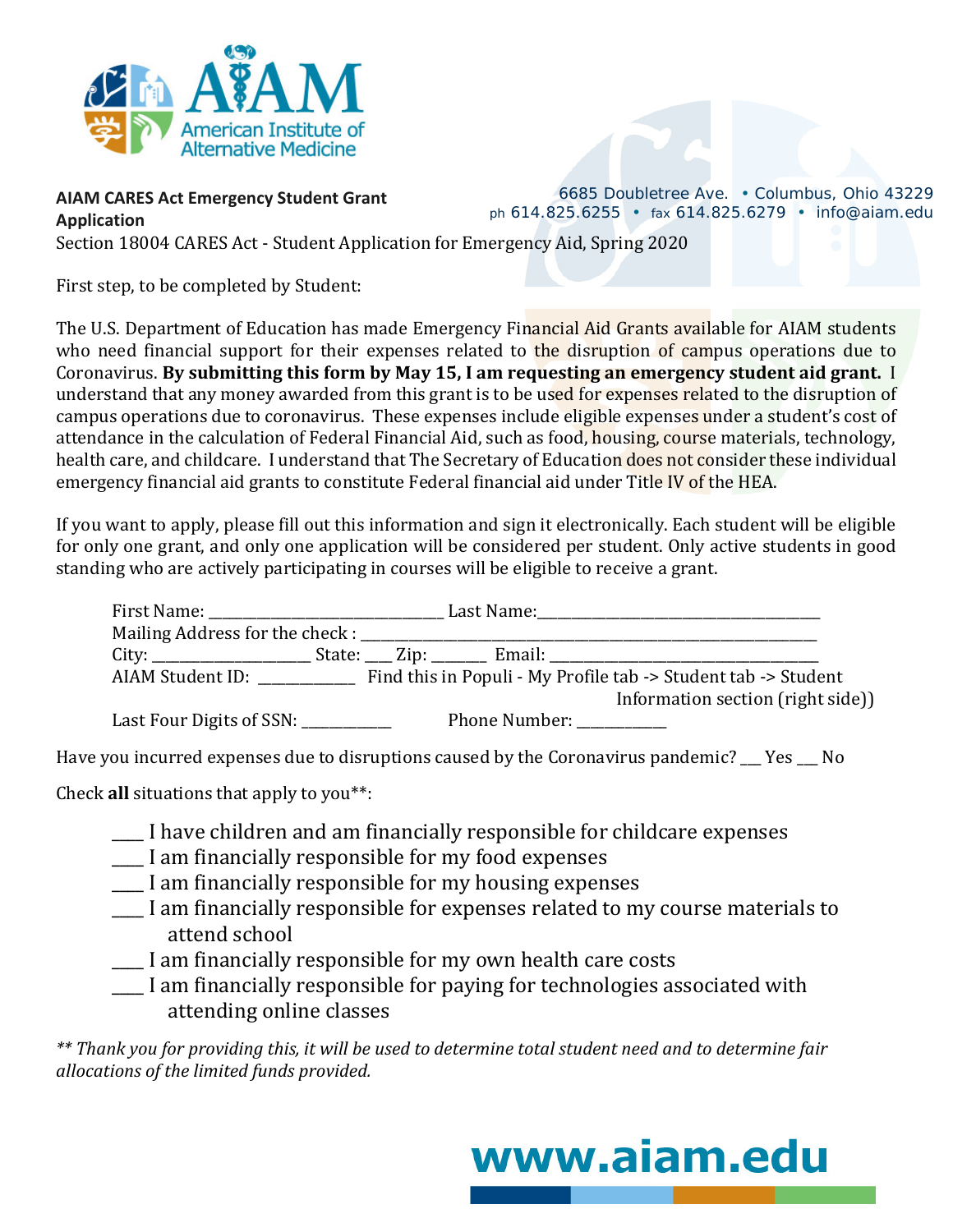

## **AIAM CARES Act Emergency Student Grant Application**

6685 Doubletree Ave. • Columbus, Ohio 43229 *ph* 614.825.6255 • *fax* 614.825.6279 • info@aiam.edu

Section 18004 CARES Act - Student Application for Emergency Aid, Spring 2020

First step, to be completed by Student:

The U.S. Department of Education has made Emergency Financial Aid Grants available for AIAM students who need financial support for their expenses related to the disruption of campus operations due to Coronavirus. **By submitting this form by May 15, I am requesting an emergency student aid grant.** I understand that any money awarded from this grant is to be used for expenses related to the disruption of campus operations due to coronavirus. These expenses include eligible expenses under a student's cost of attendance in the calculation of Federal Financial Aid, such as food, housing, course materials, technology, health care, and childcare. I understand that The Secretary of Education does not consider these individual emergency financial aid grants to constitute Federal financial aid under Title IV of the HEA.

If you want to apply, please fill out this information and sign it electronically. Each student will be eligible for only one grant, and only one application will be considered per student. Only active students in good standing who are actively participating in courses will be eligible to receive a grant.

|                          |  |                           | AIAM Student ID: Find this in Populi - My Profile tab -> Student tab -> Student<br>Information section (right side)) |
|--------------------------|--|---------------------------|----------------------------------------------------------------------------------------------------------------------|
|                          |  |                           |                                                                                                                      |
| Last Four Digits of SSN: |  | Phone Number: ___________ |                                                                                                                      |

Have you incurred expenses due to disruptions caused by the Coronavirus pandemic? \_\_\_ Yes \_\_\_ No

Check **all** situations that apply to you\*\*:

- \_\_\_\_ I have children and am financially responsible for childcare expenses
- \_\_\_\_ I am financially responsible for my food expenses
- \_\_\_\_ I am financially responsible for my housing expenses
- \_\_\_\_ I am financially responsible for expenses related to my course materials to attend school
- \_\_\_\_ I am financially responsible for my own health care costs
- \_\_\_\_ I am financially responsible for paying for technologies associated with attending online classes

*\*\* Thank you for providing this, it will be used to determine total student need and to determine fair allocations of the limited funds provided.*